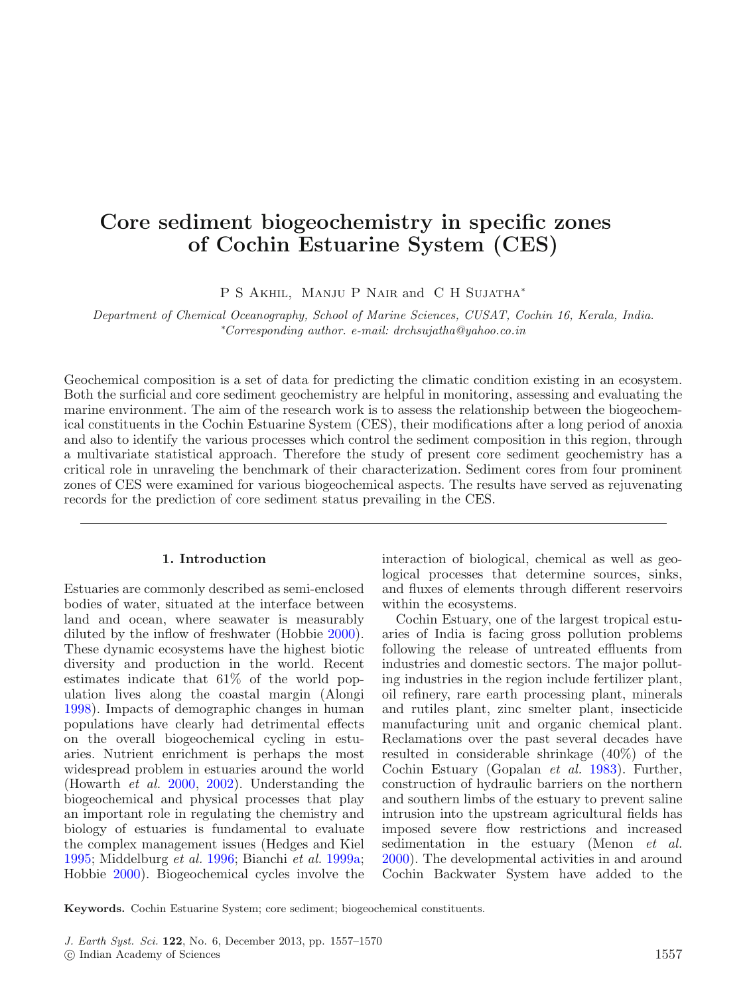# **Core sediment biogeochemistry in specific zones of Cochin Estuarine System (CES)**

P S Akhil, Manju P Nair and C H Sujatha<sup>∗</sup>

Department of Chemical Oceanography, School of Marine Sciences, CUSAT, Cochin 16, Kerala, India. ∗ Corresponding author. e-mail: drchsujatha@yahoo.co.in

Geochemical composition is a set of data for predicting the climatic condition existing in an ecosystem. Both the surficial and core sediment geochemistry are helpful in monitoring, assessing and evaluating the marine environment. The aim of the research work is to assess the relationship between the biogeochemical constituents in the Cochin Estuarine System (CES), their modifications after a long period of anoxia and also to identify the various processes which control the sediment composition in this region, through a multivariate statistical approach. Therefore the study of present core sediment geochemistry has a critical role in unraveling the benchmark of their characterization. Sediment cores from four prominent zones of CES were examined for various biogeochemical aspects. The results have served as rejuvenating records for the prediction of core sediment status prevailing in the CES.

## **1. Introduction**

Estuaries are commonly described as semi-enclosed bodies of water, situated at the interface between land and ocean, where seawater is measurably diluted by the inflow of freshwater (Hobbi[e](#page-12-0) [2000](#page-12-0)). These dynamic ecosystems have the highest biotic diversity and production in the world. Recent estimates indicate that 61% of the world population lives along the coastal margin (Along[i](#page-11-0) [1998\)](#page-11-0). Impacts of demographic changes in human populations have clearly had detrimental effects on the overall biogeochemical cycling in estuaries. Nutrient enrichment is perhaps the most widespread problem in estuaries around the world (Howarth et al[.](#page-12-1) [2000,](#page-12-1) [2002](#page-12-2)). Understanding the biogeochemical and physical processes that play an important role in regulating the chemistry and biology of estuaries is fundamental to evaluate the complex management issues (Hedges and Kiel [1995;](#page-12-3) Middelburg et al. [1996;](#page-12-4) Bianchi et al. [1999a;](#page-11-1) Hobbie [2000](#page-12-0)). Biogeochemical cycles involve the interaction of biological, chemical as well as geological processes that determine sources, sinks, and fluxes of elements through different reservoirs within the ecosystems.

Cochin Estuary, one of the largest tropical estuaries of India is facing gross pollution problems following the release of untreated effluents from industries and domestic sectors. The major polluting industries in the region include fertilizer plant, oil refinery, rare earth processing plant, minerals and rutiles plant, zinc smelter plant, insecticide manufacturing unit and organic chemical plant. Reclamations over the past several decades have resulted in considerable shrinkage (40%) of the Cochin Estuary (Gopalan et al[.](#page-12-5) [1983](#page-12-5)). Further, construction of hydraulic barriers on the northern and southern limbs of the estuary to prevent saline intrusion into the upstream agricultural fields has imposed severe flow restrictions and increased sedimentation in the estuary (Menon *et al[.](#page-12-6)* [2000\)](#page-12-6). The developmental activities in and around Cochin Backwater System have added to the

**Keywords.** Cochin Estuarine System; core sediment; biogeochemical constituents.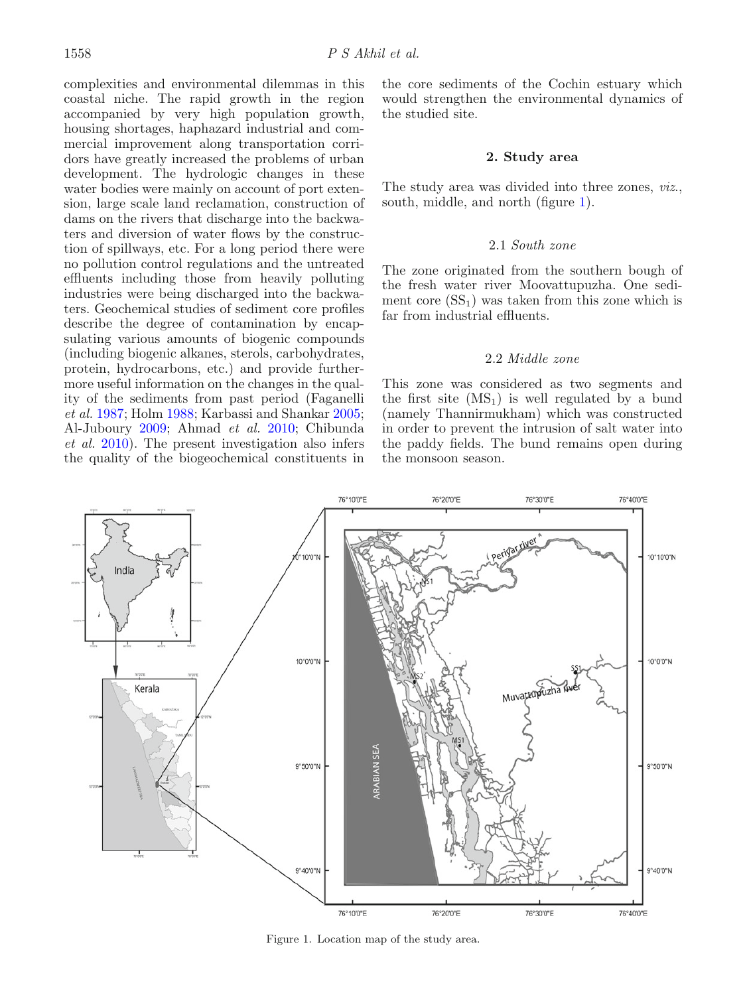complexities and environmental dilemmas in this coastal niche. The rapid growth in the region accompanied by very high population growth, housing shortages, haphazard industrial and commercial improvement along transportation corridors have greatly increased the problems of urban development. The hydrologic changes in these water bodies were mainly on account of port extension, large scale land reclamation, construction of dams on the rivers that discharge into the backwaters and diversion of water flows by the construction of spillways, etc. For a long period there were no pollution control regulations and the untreated effluents including those from heavily polluting industries were being discharged into the backwaters. Geochemical studies of sediment core profiles describe the degree of contamination by encapsulating various amounts of biogenic compounds (including biogenic alkanes, sterols, carbohydrates, protein, hydrocarbons, etc.) and provide furthermore useful information on the changes in the quality of the sediments from past period (Faganelli et al[.](#page-12-7) [1987;](#page-12-7) Hol[m](#page-12-8) [1988;](#page-12-8) Karbassi and Shanka[r](#page-12-9) [2005;](#page-12-9) Al-Jubour[y](#page-11-2) [2009;](#page-11-2) Ahmad et al[.](#page-11-3) [2010](#page-11-3); Chibunda et al[.](#page-12-10) [2010\)](#page-12-10). The present investigation also infers the quality of the biogeochemical constituents in the core sediments of the Cochin estuary which would strengthen the environmental dynamics of the studied site.

# **2. Study area**

The study area was divided into three zones, *viz.*, south, middle, and north (figure [1\)](#page-1-0).

## 2.1 South zone

The zone originated from the southern bough of the fresh water river Moovattupuzha. One sediment core  $(SS_1)$  was taken from this zone which is far from industrial effluents.

## 2.2 Middle zone

This zone was considered as two segments and the first site  $(MS_1)$  is well regulated by a bund (namely Thannirmukham) which was constructed in order to prevent the intrusion of salt water into the paddy fields. The bund remains open during the monsoon season.

<span id="page-1-0"></span>

Figure 1. Location map of the study area.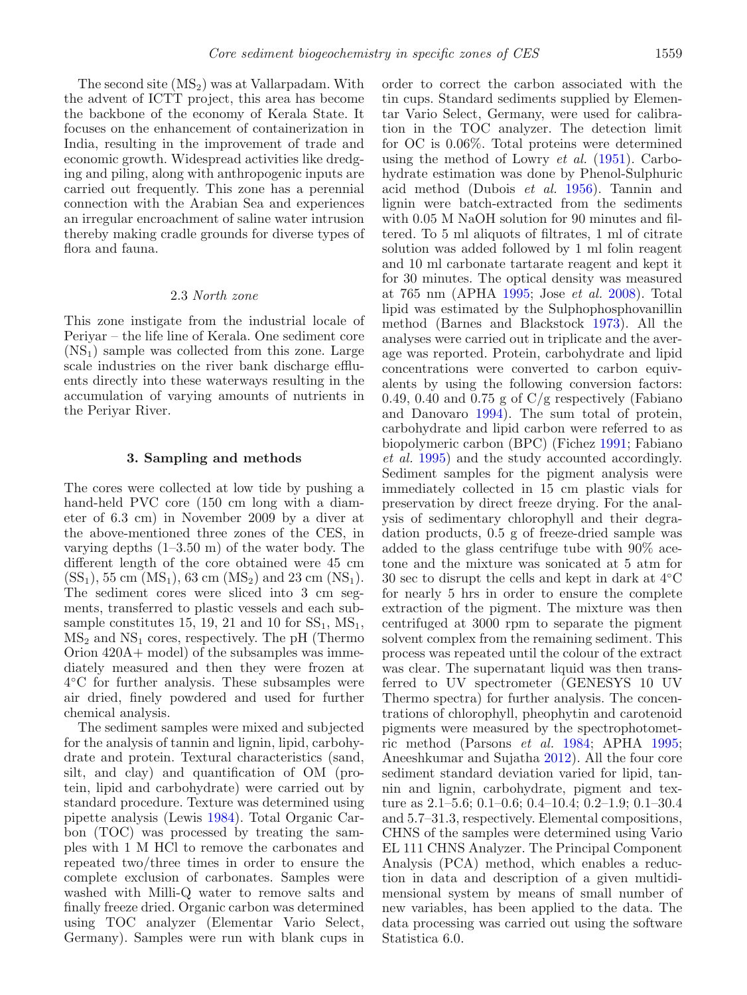The second site  $(MS_2)$  was at Vallarpadam. With the advent of ICTT project, this area has become the backbone of the economy of Kerala State. It focuses on the enhancement of containerization in India, resulting in the improvement of trade and economic growth. Widespread activities like dredging and piling, along with anthropogenic inputs are

carried out frequently. This zone has a perennial connection with the Arabian Sea and experiences an irregular encroachment of saline water intrusion thereby making cradle grounds for diverse types of flora and fauna.

# 2.3 North zone

This zone instigate from the industrial locale of Periyar – the life line of Kerala. One sediment core  $(NS<sub>1</sub>)$  sample was collected from this zone. Large scale industries on the river bank discharge effluents directly into these waterways resulting in the accumulation of varying amounts of nutrients in the Periyar River.

#### **3. Sampling and methods**

The cores were collected at low tide by pushing a hand-held PVC core (150 cm long with a diameter of 6.3 cm) in November 2009 by a diver at the above-mentioned three zones of the CES, in varying depths (1–3.50 m) of the water body. The different length of the core obtained were 45 cm  $(SS<sub>1</sub>), 55 cm (MS<sub>1</sub>), 63 cm (MS<sub>2</sub>) and 23 cm (NS<sub>1</sub>).$ The sediment cores were sliced into 3 cm segments, transferred to plastic vessels and each subsample constitutes 15, 19, 21 and 10 for  $SS_1$ ,  $MS_1$ ,  $MS<sub>2</sub>$  and  $NS<sub>1</sub>$  cores, respectively. The pH (Thermo Orion 420A+ model) of the subsamples was immediately measured and then they were frozen at 4◦C for further analysis. These subsamples were air dried, finely powdered and used for further chemical analysis.

The sediment samples were mixed and subjected for the analysis of tannin and lignin, lipid, carbohydrate and protein. Textural characteristics (sand, silt, and clay) and quantification of OM (protein, lipid and carbohydrate) were carried out by standard procedure. Texture was determined using pipette analysis (Lewi[s](#page-12-11) [1984](#page-12-11)). Total Organic Carbon (TOC) was processed by treating the samples with 1 M HCl to remove the carbonates and repeated two/three times in order to ensure the complete exclusion of carbonates. Samples were washed with Milli-Q water to remove salts and finally freeze dried. Organic carbon was determined using TOC analyzer (Elementar Vario Select, Germany). Samples were run with blank cups in

order to correct the carbon associated with the tin cups. Standard sediments supplied by Elementar Vario Select, Germany, were used for calibration in the TOC analyzer. The detection limit for OC is 0.06%. Total proteins were determined using the method of Lowry *et al[.](#page-12-12)*  $(1951)$  $(1951)$ . Carbohydrate estimation was done by Phenol-Sulphuric acid method (Dubois et al[.](#page-12-13) [1956\)](#page-12-13). Tannin and lignin were batch-extracted from the sediments with 0.05 M NaOH solution for 90 minutes and filtered. To 5 ml aliquots of filtrates, 1 ml of citrate solution was added followed by 1 ml folin reagent and 10 ml carbonate tartarate reagent and kept it for 30 minutes. The optical density was measured at 765 nm (APH[A](#page-11-4) [1995;](#page-11-4) Jose et al[.](#page-12-14) [2008](#page-12-14)). Total lipid was estimated by the Sulphophosphovanillin method (Barnes and Blackstoc[k](#page-11-5) [1973](#page-11-5)). All the analyses were carried out in triplicate and the average was reported. Protein, carbohydrate and lipid concentrations were converted to carbon equivalents by using the following conversion factors: 0.49, 0.40 and 0.75 g of  $C/g$  respectively (Fabiano and Danovaro [1994](#page-12-15)). The sum total of protein, carbohydrate and lipid carbon were referred to as biopolymeric carbon (BPC) (Fiche[z](#page-12-16) [1991](#page-12-16); Fabiano et al[.](#page-12-17) [1995\)](#page-12-17) and the study accounted accordingly. Sediment samples for the pigment analysis were immediately collected in 15 cm plastic vials for preservation by direct freeze drying. For the analysis of sedimentary chlorophyll and their degradation products, 0.5 g of freeze-dried sample was added to the glass centrifuge tube with 90% acetone and the mixture was sonicated at 5 atm for 30 sec to disrupt the cells and kept in dark at 4◦C for nearly 5 hrs in order to ensure the complete extraction of the pigment. The mixture was then centrifuged at 3000 rpm to separate the pigment solvent complex from the remaining sediment. This process was repeated until the colour of the extract was clear. The supernatant liquid was then transferred to UV spectrometer (GENESYS 10 UV Thermo spectra) for further analysis. The concentrations of chlorophyll, pheophytin and carotenoid pigments were measured by the spectrophotometric method (Parsons et al[.](#page-13-0) [1984;](#page-13-0) APH[A](#page-11-4) [1995](#page-11-4); Aneeshkumar and Sujath[a](#page-11-6) [2012\)](#page-11-6). All the four core sediment standard deviation varied for lipid, tannin and lignin, carbohydrate, pigment and texture as 2.1–5.6; 0.1–0.6; 0.4–10.4; 0.2–1.9; 0.1–30.4 and 5.7–31.3, respectively. Elemental compositions, CHNS of the samples were determined using Vario EL 111 CHNS Analyzer. The Principal Component Analysis (PCA) method, which enables a reduction in data and description of a given multidimensional system by means of small number of new variables, has been applied to the data. The data processing was carried out using the software Statistica 6.0.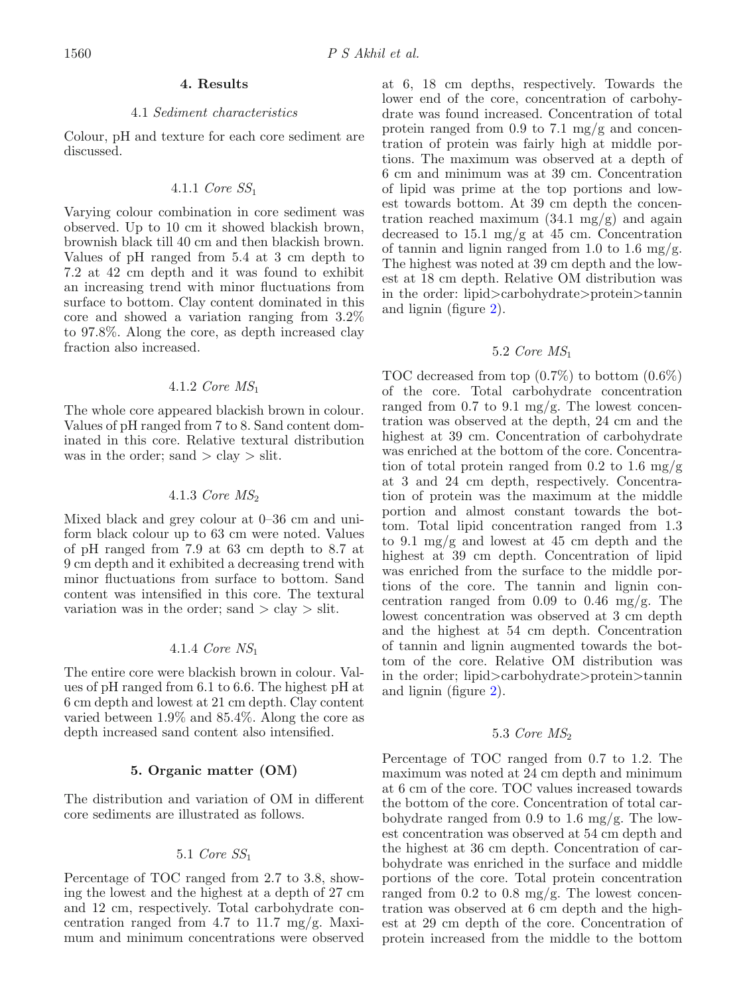### **4. Results**

# 4.1 Sediment characteristics

Colour, pH and texture for each core sediment are discussed.

# 4.1.1 Core SS<sup>1</sup>

Varying colour combination in core sediment was observed. Up to 10 cm it showed blackish brown, brownish black till 40 cm and then blackish brown. Values of pH ranged from 5.4 at 3 cm depth to 7.2 at 42 cm depth and it was found to exhibit an increasing trend with minor fluctuations from surface to bottom. Clay content dominated in this core and showed a variation ranging from 3.2% to 97.8%. Along the core, as depth increased clay fraction also increased.

# 4.1.2 *Core*  $MS_1$

The whole core appeared blackish brown in colour. Values of pH ranged from 7 to 8. Sand content dominated in this core. Relative textural distribution was in the order; sand  $>$  clay  $>$  slit.

# 4.1.3 Core  $MS<sub>2</sub>$

Mixed black and grey colour at 0–36 cm and uniform black colour up to 63 cm were noted. Values of pH ranged from 7.9 at 63 cm depth to 8.7 at 9 cm depth and it exhibited a decreasing trend with minor fluctuations from surface to bottom. Sand content was intensified in this core. The textural variation was in the order; sand  $\geq$  clay  $\geq$  slit.

# 4.1.4 Core NS<sup>1</sup>

The entire core were blackish brown in colour. Values of pH ranged from 6.1 to 6.6. The highest pH at 6 cm depth and lowest at 21 cm depth. Clay content varied between 1.9% and 85.4%. Along the core as depth increased sand content also intensified.

# **5. Organic matter (OM)**

The distribution and variation of OM in different core sediments are illustrated as follows.

# 5.1 Core SS<sup>1</sup>

Percentage of TOC ranged from 2.7 to 3.8, showing the lowest and the highest at a depth of 27 cm and 12 cm, respectively. Total carbohydrate concentration ranged from 4.7 to 11.7 mg/g. Maximum and minimum concentrations were observed

at 6, 18 cm depths, respectively. Towards the lower end of the core, concentration of carbohydrate was found increased. Concentration of total protein ranged from 0.9 to 7.1 mg/g and concentration of protein was fairly high at middle portions. The maximum was observed at a depth of 6 cm and minimum was at 39 cm. Concentration of lipid was prime at the top portions and lowest towards bottom. At 39 cm depth the concentration reached maximum  $(34.1 \text{ mg/g})$  and again decreased to  $15.1 \text{ mg/g}$  at  $45 \text{ cm}$ . Concentration of tannin and lignin ranged from 1.0 to 1.6 mg/g. The highest was noted at 39 cm depth and the lowest at 18 cm depth. Relative OM distribution was in the order: lipid>carbohydrate>protein>tannin and lignin (figure [2\)](#page-4-0).

# 5.2 Core MS<sup>1</sup>

TOC decreased from top (0.7%) to bottom (0.6%) of the core. Total carbohydrate concentration ranged from 0.7 to 9.1 mg/g. The lowest concentration was observed at the depth, 24 cm and the highest at 39 cm. Concentration of carbohydrate was enriched at the bottom of the core. Concentration of total protein ranged from 0.2 to 1.6 mg/g at 3 and 24 cm depth, respectively. Concentration of protein was the maximum at the middle portion and almost constant towards the bottom. Total lipid concentration ranged from 1.3 to 9.1 mg/g and lowest at 45 cm depth and the highest at 39 cm depth. Concentration of lipid was enriched from the surface to the middle portions of the core. The tannin and lignin concentration ranged from  $0.09$  to  $0.46$  mg/g. The lowest concentration was observed at 3 cm depth and the highest at 54 cm depth. Concentration of tannin and lignin augmented towards the bottom of the core. Relative OM distribution was in the order; lipid>carbohydrate>protein>tannin and lignin (figure [2\)](#page-4-0).

# 5.3 *Core*  $MS_2$

Percentage of TOC ranged from 0.7 to 1.2. The maximum was noted at 24 cm depth and minimum at 6 cm of the core. TOC values increased towards the bottom of the core. Concentration of total carbohydrate ranged from 0.9 to 1.6 mg/g. The lowest concentration was observed at 54 cm depth and the highest at 36 cm depth. Concentration of carbohydrate was enriched in the surface and middle portions of the core. Total protein concentration ranged from 0.2 to 0.8 mg/g. The lowest concentration was observed at 6 cm depth and the highest at 29 cm depth of the core. Concentration of protein increased from the middle to the bottom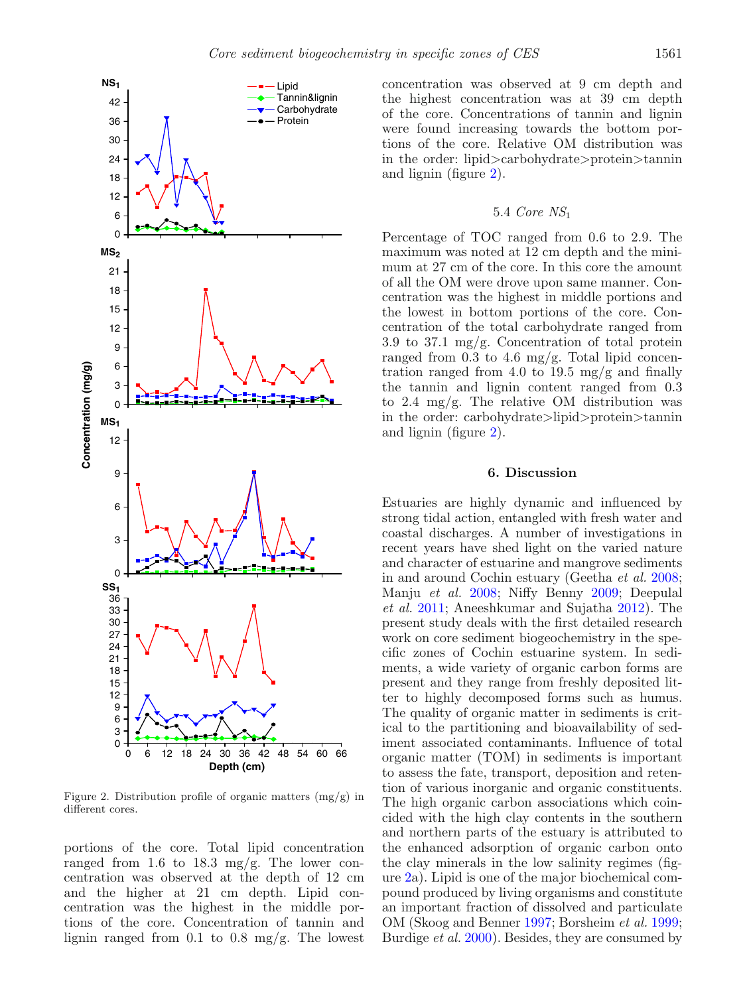<span id="page-4-0"></span>

Figure 2. Distribution profile of organic matters (mg/g) in different cores.

portions of the core. Total lipid concentration ranged from 1.6 to 18.3 mg/g. The lower concentration was observed at the depth of 12 cm and the higher at 21 cm depth. Lipid concentration was the highest in the middle portions of the core. Concentration of tannin and lignin ranged from 0.1 to 0.8 mg/g. The lowest

concentration was observed at 9 cm depth and the highest concentration was at 39 cm depth of the core. Concentrations of tannin and lignin were found increasing towards the bottom portions of the core. Relative OM distribution was in the order: lipid>carbohydrate>protein>tannin and lignin (figure [2\)](#page-4-0).

# 5.4 Core NS<sup>1</sup>

Percentage of TOC ranged from 0.6 to 2.9. The maximum was noted at 12 cm depth and the minimum at 27 cm of the core. In this core the amount of all the OM were drove upon same manner. Concentration was the highest in middle portions and the lowest in bottom portions of the core. Concentration of the total carbohydrate ranged from 3.9 to 37.1 mg/g. Concentration of total protein ranged from 0.3 to 4.6 mg/g. Total lipid concentration ranged from 4.0 to 19.5 mg/g and finally the tannin and lignin content ranged from 0.3 to 2.4 mg/g. The relative OM distribution was in the order: carbohydrate>lipid>protein>tannin and lignin (figure [2\)](#page-4-0).

# **6. Discussion**

Estuaries are highly dynamic and influenced by strong tidal action, entangled with fresh water and coastal discharges. A number of investigations in recent years have shed light on the varied nature and character of estuarine and mangrove sediments in and around Cochin estuary (Geetha et al[.](#page-12-18) [2008](#page-12-18); Manju et al[.](#page-12-19) [2008](#page-12-19); Niffy Benn[y](#page-12-20) [2009](#page-12-20); Deepulal et al[.](#page-12-21) [2011;](#page-12-21) Aneeshkumar and Sujath[a](#page-11-6) [2012](#page-11-6)). The present study deals with the first detailed research work on core sediment biogeochemistry in the specific zones of Cochin estuarine system. In sediments, a wide variety of organic carbon forms are present and they range from freshly deposited litter to highly decomposed forms such as humus. The quality of organic matter in sediments is critical to the partitioning and bioavailability of sediment associated contaminants. Influence of total organic matter (TOM) in sediments is important to assess the fate, transport, deposition and retention of various inorganic and organic constituents. The high organic carbon associations which coincided with the high clay contents in the southern and northern parts of the estuary is attributed to the enhanced adsorption of organic carbon onto the clay minerals in the low salinity regimes (figure [2a](#page-4-0)). Lipid is one of the major biochemical compound produced by living organisms and constitute an important fraction of dissolved and particulate OM (Skoog and Benne[r](#page-13-1) [1997;](#page-13-1) Borsheim et al[.](#page-12-22) [1999](#page-12-22); Burdige *et al[.](#page-12-23)* [2000](#page-12-23)). Besides, they are consumed by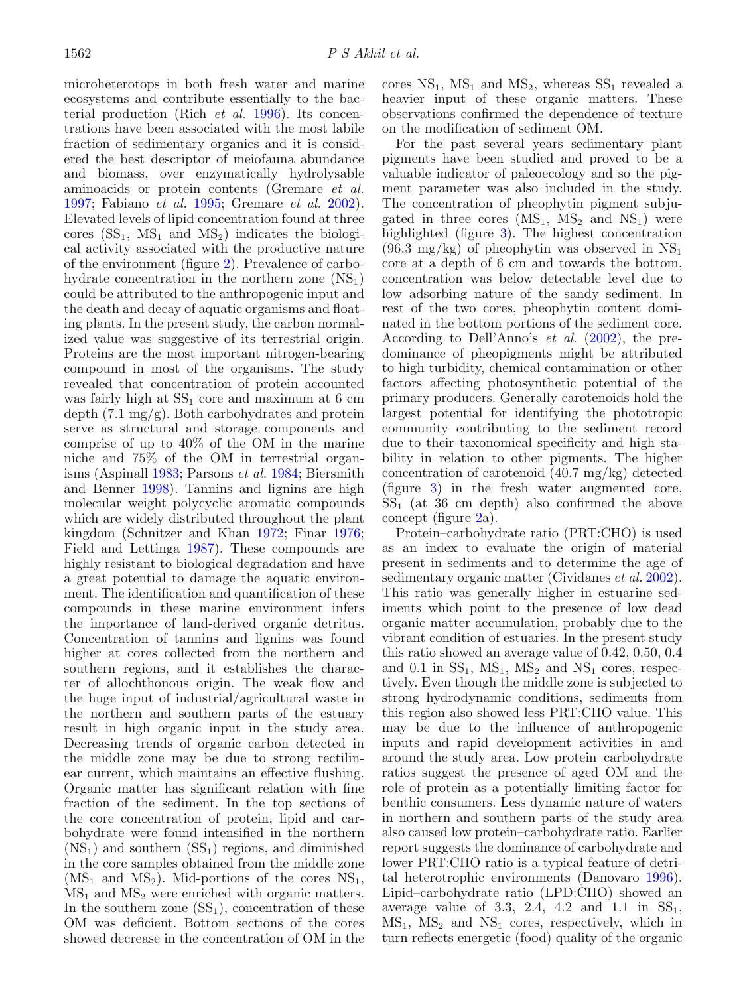microheterotops in both fresh water and marine ecosystems and contribute essentially to the bacterial production (Rich et al[.](#page-13-2) [1996\)](#page-13-2). Its concentrations have been associated with the most labile fraction of sedimentary organics and it is considered the best descriptor of meiofauna abundance and biomass, over enzymatically hydrolysable aminoacids or protein contents (Gremare et al. [1997;](#page-12-24) Fabiano et al. [1995](#page-12-17); Gremare et al. [2002](#page-12-25)). Elevated levels of lipid concentration found at three cores  $(SS_1, MS_1 \text{ and } MS_2)$  indicates the biological activity associated with the productive nature of the environment (figure [2\)](#page-4-0). Prevalence of carbohydrate concentration in the northern zone  $(NS<sub>1</sub>)$ could be attributed to the anthropogenic input and the death and decay of aquatic organisms and floating plants. In the present study, the carbon normalized value was suggestive of its terrestrial origin. Proteins are the most important nitrogen-bearing compound in most of the organisms. The study revealed that concentration of protein accounted was fairly high at  $SS_1$  core and maximum at 6 cm depth (7.1 mg/g). Both carbohydrates and protein serve as structural and storage components and comprise of up to 40% of the OM in the marine niche and 75% of the OM in terrestrial organisms (Aspinal[l](#page-11-7) [1983](#page-11-7); Parsons et al[.](#page-13-0) [1984;](#page-13-0) Biersmith and Benne[r](#page-12-26) [1998\)](#page-12-26). Tannins and lignins are high molecular weight polycyclic aromatic compounds which are widely distributed throughout the plant kingdom (Schnitzer and Kha[n](#page-13-3) [1972](#page-13-3); Fina[r](#page-12-27) [1976;](#page-12-27) Field and Letting[a](#page-12-28) [1987\)](#page-12-28). These compounds are highly resistant to biological degradation and have a great potential to damage the aquatic environment. The identification and quantification of these compounds in these marine environment infers the importance of land-derived organic detritus. Concentration of tannins and lignins was found higher at cores collected from the northern and southern regions, and it establishes the character of allochthonous origin. The weak flow and the huge input of industrial/agricultural waste in the northern and southern parts of the estuary result in high organic input in the study area. Decreasing trends of organic carbon detected in the middle zone may be due to strong rectilinear current, which maintains an effective flushing. Organic matter has significant relation with fine fraction of the sediment. In the top sections of the core concentration of protein, lipid and carbohydrate were found intensified in the northern  $(NS<sub>1</sub>)$  and southern  $(SS<sub>1</sub>)$  regions, and diminished in the core samples obtained from the middle zone  $(MS_1 \text{ and } MS_2)$ . Mid-portions of the cores  $NS_1$ ,  $MS<sub>1</sub>$  and  $MS<sub>2</sub>$  were enriched with organic matters. In the southern zone  $(SS_1)$ , concentration of these OM was deficient. Bottom sections of the cores showed decrease in the concentration of OM in the

cores  $NS_1$ ,  $MS_1$  and  $MS_2$ , whereas  $SS_1$  revealed a heavier input of these organic matters. These observations confirmed the dependence of texture on the modification of sediment OM.

For the past several years sedimentary plant pigments have been studied and proved to be a valuable indicator of paleoecology and so the pigment parameter was also included in the study. The concentration of pheophytin pigment subjugated in three cores  $(MS_1, MS_2 \text{ and } NS_1)$  were highlighted (figure [3\)](#page-6-0). The highest concentration  $(96.3 \text{ mg/kg})$  of pheophytin was observed in NS<sub>1</sub> core at a depth of 6 cm and towards the bottom, concentration was below detectable level due to low adsorbing nature of the sandy sediment. In rest of the two cores, pheophytin content dominated in the bottom portions of the sediment core. According to Dell'Anno's et al. [\(2002\)](#page-12-29), the predominance of pheopigments might be attributed to high turbidity, chemical contamination or other factors affecting photosynthetic potential of the primary producers. Generally carotenoids hold the largest potential for identifying the phototropic community contributing to the sediment record due to their taxonomical specificity and high stability in relation to other pigments. The higher concentration of carotenoid (40.7 mg/kg) detected (figure [3\)](#page-6-0) in the fresh water augmented core,  $SS<sub>1</sub>$  (at 36 cm depth) also confirmed the above concept (figure [2a](#page-4-0)).

Protein–carbohydrate ratio (PRT:CHO) is used as an index to evaluate the origin of material present in sediments and to determine the age of sedimentary organic matter (Cividanes et al[.](#page-12-30) [2002\)](#page-12-30). This ratio was generally higher in estuarine sediments which point to the presence of low dead organic matter accumulation, probably due to the vibrant condition of estuaries. In the present study this ratio showed an average value of 0.42, 0.50, 0.4 and 0.1 in  $SS_1$ ,  $MS_1$ ,  $MS_2$  and  $NS_1$  cores, respectively. Even though the middle zone is subjected to strong hydrodynamic conditions, sediments from this region also showed less PRT:CHO value. This may be due to the influence of anthropogenic inputs and rapid development activities in and around the study area. Low protein–carbohydrate ratios suggest the presence of aged OM and the role of protein as a potentially limiting factor for benthic consumers. Less dynamic nature of waters in northern and southern parts of the study area also caused low protein–carbohydrate ratio. Earlier report suggests the dominance of carbohydrate and lower PRT:CHO ratio is a typical feature of detrital heterotrophic environments (Danovar[o](#page-12-31) [1996\)](#page-12-31). Lipid–carbohydrate ratio (LPD:CHO) showed an average value of 3.3, 2.4, 4.2 and 1.1 in  $SS_1$ ,  $MS_1$ ,  $MS_2$  and  $NS_1$  cores, respectively, which in turn reflects energetic (food) quality of the organic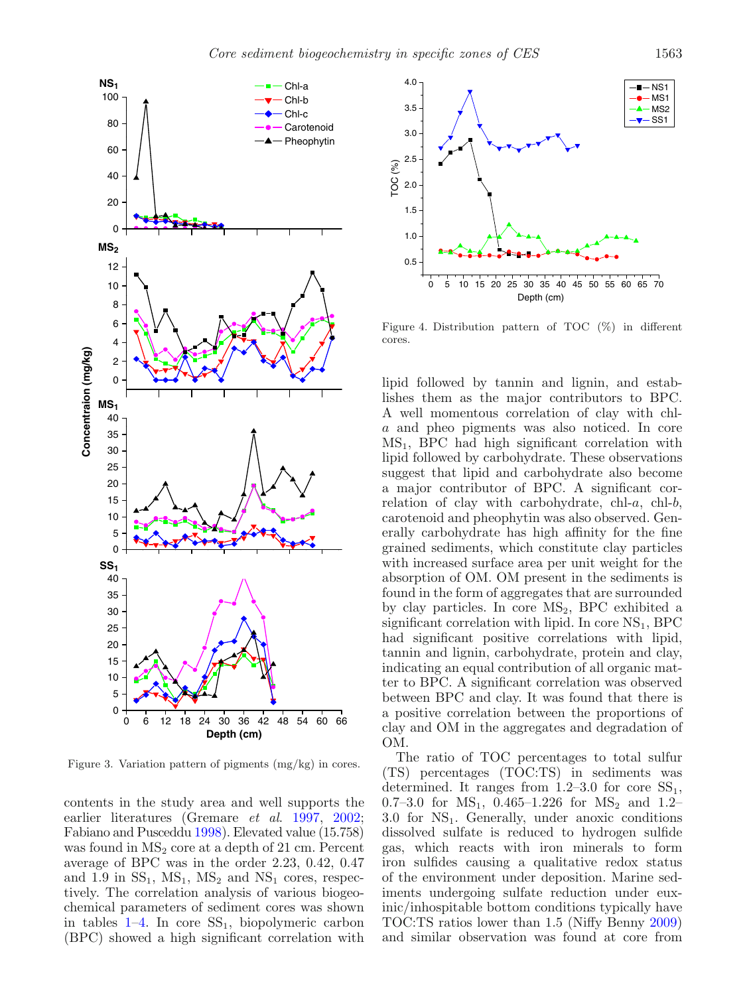<span id="page-6-0"></span>![](_page_6_Figure_0.jpeg)

![](_page_6_Figure_2.jpeg)

Figure 4. Distribution pattern of TOC (%) in different cores.

lipid followed by tannin and lignin, and establishes them as the major contributors to BPC. A well momentous correlation of clay with chla and pheo pigments was also noticed. In core  $MS<sub>1</sub>$ , BPC had high significant correlation with lipid followed by carbohydrate. These observations suggest that lipid and carbohydrate also become a major contributor of BPC. A significant correlation of clay with carbohydrate, chl- $a$ , chl- $b$ , carotenoid and pheophytin was also observed. Generally carbohydrate has high affinity for the fine grained sediments, which constitute clay particles with increased surface area per unit weight for the absorption of OM. OM present in the sediments is found in the form of aggregates that are surrounded by clay particles. In core  $MS_2$ , BPC exhibited a significant correlation with lipid. In core  $NS<sub>1</sub>$ , BPC had significant positive correlations with lipid, tannin and lignin, carbohydrate, protein and clay, indicating an equal contribution of all organic matter to BPC. A significant correlation was observed between BPC and clay. It was found that there is a positive correlation between the proportions of clay and OM in the aggregates and degradation of OM.

The ratio of TOC percentages to total sulfur (TS) percentages (TOC:TS) in sediments was determined. It ranges from  $1.2{\text -}3.0$  for core  $SS_1$ , 0.7–3.0 for  $MS_1$ , 0.465–1.226 for  $MS_2$  and 1.2–  $3.0$  for  $NS<sub>1</sub>$ . Generally, under anoxic conditions dissolved sulfate is reduced to hydrogen sulfide gas, which reacts with iron minerals to form iron sulfides causing a qualitative redox status of the environment under deposition. Marine sediments undergoing sulfate reduction under euxinic/inhospitable bottom conditions typically have TOC:TS ratios lower than 1.5 (Niffy Benn[y](#page-12-20) [2009](#page-12-20)) and similar observation was found at core from

Figure 3. Variation pattern of pigments (mg/kg) in cores.

contents in the study area and well supports the earlier literatures (Gremare et al. [1997](#page-12-24), [2002;](#page-12-25) Fabiano and Pusceddu [1998\)](#page-12-32). Elevated value (15.758) was found in  $MS<sub>2</sub>$  core at a depth of 21 cm. Percent average of BPC was in the order 2.23, 0.42, 0.47 and 1.9 in  $SS_1$ ,  $MS_1$ ,  $MS_2$  and  $NS_1$  cores, respectively. The correlation analysis of various biogeochemical parameters of sediment cores was shown in tables  $1-4$ . In core  $SS_1$ , biopolymeric carbon (BPC) showed a high significant correlation with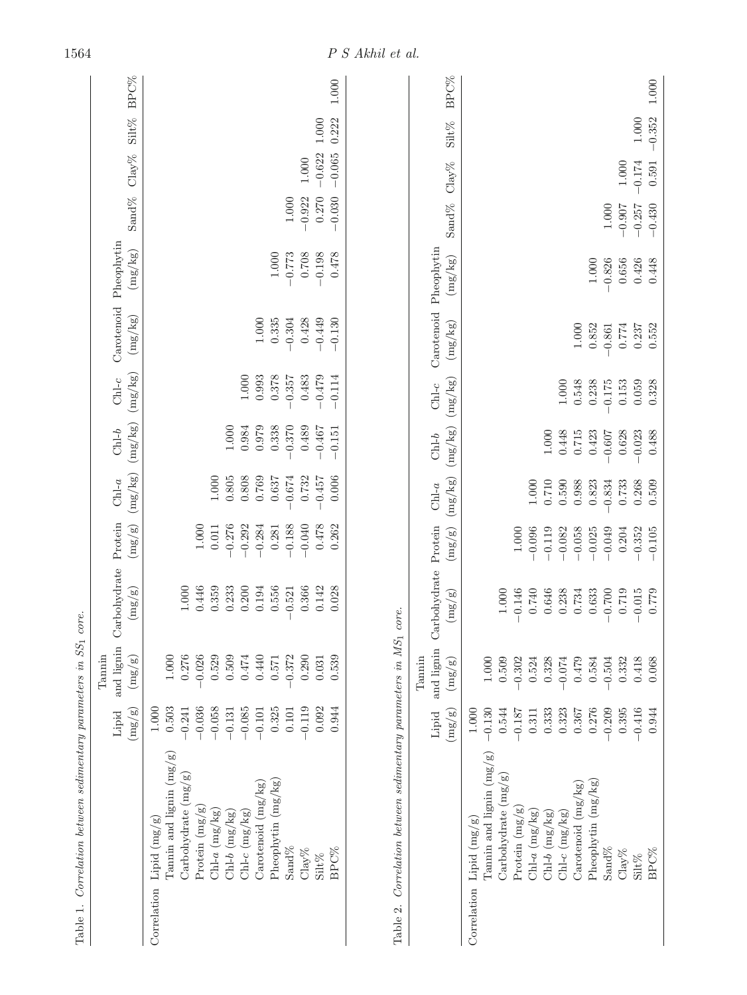<span id="page-7-0"></span>

| Table 1.                                                                                                                                                                                                                                                                                |                                                                                                                                        | Correlation between sedimentary parameters in SS1                                                                      | core.                                                                                                     |                                                                                                                  |                                                                                         |                                                                               |                                                                      |                                                                 |                                                     |                                               |                                   |                       |             |
|-----------------------------------------------------------------------------------------------------------------------------------------------------------------------------------------------------------------------------------------------------------------------------------------|----------------------------------------------------------------------------------------------------------------------------------------|------------------------------------------------------------------------------------------------------------------------|-----------------------------------------------------------------------------------------------------------|------------------------------------------------------------------------------------------------------------------|-----------------------------------------------------------------------------------------|-------------------------------------------------------------------------------|----------------------------------------------------------------------|-----------------------------------------------------------------|-----------------------------------------------------|-----------------------------------------------|-----------------------------------|-----------------------|-------------|
|                                                                                                                                                                                                                                                                                         | (mg/g)<br>Lipid                                                                                                                        | and lignin<br>Tannin<br>$\left(\mathrm{mg/g}\right)$                                                                   | Carbohydrate Protein<br>(mg/g)                                                                            | (mg/g)                                                                                                           | (mg/kg)<br>$Chl-a$                                                                      | (mg/kg)<br>$Chl-b$                                                            | (mg/kg)<br>$Chl-c$                                                   | (mg/kg)                                                         | Carotenoid Pheophytin<br>(mg/kg)                    | Sand%                                         | $\text{Clay}\%$                   | Silt% BPC%            |             |
| Tannin and lignin $(mg/g)$<br>Carbohydrate $(mg/g)$<br>Pheophytin $(mg/kg)$<br>$\text{Carcotenoid} \left( \text{mg/kg} \right)$<br>Protein $(mg/g)$<br>$Chl-a$ $(mg/kg)$<br>$Chl-c$ (mg/kg)<br>$Chl-b$ $(mg/kg)$<br>Lipid $(mg/g)$<br>Sand%<br>BPC%<br>$Clay\%$<br>Silt%<br>Correlation | 0.503<br>$-0.036$<br>$-0.058$<br>$-0.085$<br>0.325<br>$-0.119$<br>0.092<br>1.000<br>$-0.241$<br>$-0.131$<br>0.101<br>0.944<br>$-0.101$ | 0.276<br>$0.474\,$<br>$-0.026$<br>0.529<br>0.509<br>0.440<br>0.290<br>$1.000\,$<br>$-0.372$<br>0.539<br>0.571<br>0.031 | 1.000<br>0.446<br>0.359<br>0.233<br>0.556<br>0.028<br>0.200<br>0.194<br>0.521<br>0.366<br>0.142           | $1.000\,$<br>$-0.040$<br>0.478<br>$-0.276$<br>$-0.292$<br>$-0.284$<br>$-0.188$<br>0.262<br>0.011<br>0.281        | $1.000\,$<br>0.805<br>0.808<br>0.769<br>$-0.674$<br>0.732<br>$-0.457$<br>0.006<br>0.637 | 1.000<br>0.984<br>0.979<br>0.338<br>$-0.370$<br>0.489<br>$-0.467$<br>$-0.151$ | 1.000<br>0.378<br>$-0.479$<br>0.993<br>0.483<br>$-0.114$<br>$-0.357$ | $-0.449$<br>$-0.130$<br>$1.000\,$<br>0.335<br>$-0.304$<br>0.428 | $1.000\,$<br>$-0.773$<br>0.708<br>$-0.198$<br>0.478 | 0.270<br>$-0.922$<br>$-0.030$<br>$1.000\,$    | $-0.622$<br>$-0.065$<br>$1.000\,$ | $1.000$<br>0.222      | $1.000\,$   |
| Table 2. Correlation between sedimentary parameters in MS <sub>1</sub>                                                                                                                                                                                                                  | $\left(\mathrm{mg}/\mathrm{g}\right)$<br>Lipid                                                                                         | and lignin<br>Tannin<br>$\left(\frac{\text{mg}}{\text{g}}\right)$                                                      | Carbohydrate Protein<br>$\left(\mathrm{mg/gg}\right)$<br>core.                                            | $\left(\mathrm{mg}/\mathrm{g}\right)$                                                                            | (mg/kg)<br>$Chl-a$                                                                      | (mg/kg)<br>$Chl-b$                                                            | (mg/kg)<br>$Chl-c$                                                   | Carotenoid Pheophytin<br>(mg/kg)                                | (mg/kg)                                             | Sand <sup>9</sup> %                           | $\mathrm{Clay}\%$                 | Silt%                 | <b>BPC%</b> |
| Tannin and lignin $(mg/g)$<br>Carbohydrate $(mg/g)$<br>Pheophytin $(mg/kg)$<br>Carotenoid $(mg/kg)$<br>Protein $(mg/g)$<br>$Ch1-a$ (mg/kg)<br>$Chl-c$ $(mg/kg)$<br>$Ch1-b$ $(mg/kg)$<br>Lipid $(mg/g)$<br>$\operatorname{Sand}\!\%$<br>BPC%<br>$\text{Clay}\%$<br>Silt%<br>Correlation  | $-0.130$<br>0.544<br>0.333<br>0.323<br>0.276<br>0.209<br>0.395<br>$-0.416$<br>1.000<br>$-0.187$<br>0.367<br>0.944<br>0.311             | 0.509<br>0.328<br>$-0.074$<br>0.479<br>0.584<br>$-0.504$<br>0.332<br>$1.000\,$<br>$-0.302$<br>0.524<br>0.418<br>0.068  | $1.000\,$<br>$-0.146$<br>0.740<br>0.646<br>0.734<br>0.719<br>0.238<br>0.633<br>0.700<br>$-0.015$<br>0.779 | $1.000$<br>$-0.096$<br>$-0.119$<br>$-0.058$<br>$-0.025$<br>$-0.049$<br>$-0.082$<br>0.204<br>$-0.352$<br>$-0.105$ | $1.000\,$<br>0.710<br>0.590<br>0.988<br>0.823<br>0.834<br>0.268<br>0.733<br>0.509       | $1.000$<br>0.448<br>0.488<br>0.715<br>0.423<br>$-0.023$<br>0.607<br>0.628     | $1.000\,$<br>0.548<br>0.059<br>0.328<br>0.238<br>$-0.175$<br>0.153   | $1.000\,$<br>0.852<br>0.774<br>0.237<br>0.552<br>$-0.861$       | $1.000\,$<br>$-0.826$<br>0.656<br>0.426<br>0.448    | $1.000\,$<br>$-0.430$<br>$-0.907$<br>$-0.257$ | $-0.174$<br>$1.000\,$<br>0.591    | $-0.352$<br>$1.000\,$ | $1.000\,$   |

 $\label{eq:ps} P~S~A\textit{khil et al.}$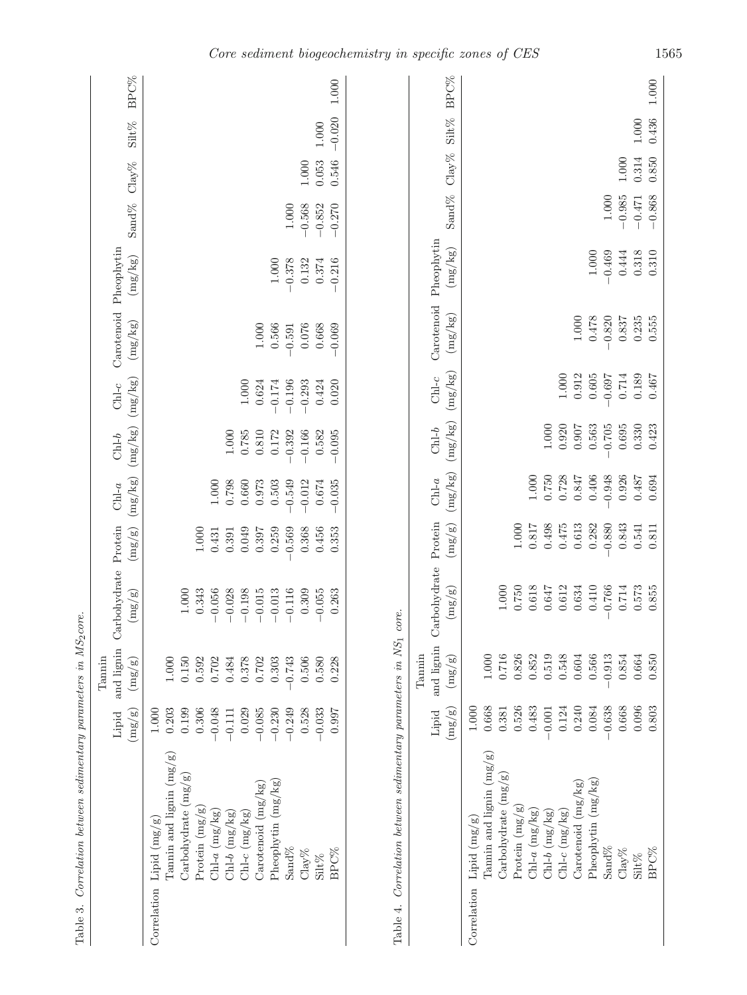| Table 3. Correlation between sedimentary parameters in MS <sub>2</sub> core. |                          |                    |                                                   |  |  |                                                                                                                                                 |                       |  |
|------------------------------------------------------------------------------|--------------------------|--------------------|---------------------------------------------------|--|--|-------------------------------------------------------------------------------------------------------------------------------------------------|-----------------------|--|
|                                                                              |                          | Tannin             |                                                   |  |  |                                                                                                                                                 |                       |  |
|                                                                              | Lipid                    |                    | and lignin Carbohydrate Protein Chl-a Chl-b Chl-c |  |  |                                                                                                                                                 | Carotenoid Pheophytin |  |
|                                                                              | mg/g                     | (mg/g)             | $\left(\frac{1}{2}\right)^{n}$                    |  |  | $\left(\frac{mg}{g}\right)$ $\left(\frac{mg}{kg}\right)$ $\left(\frac{mg}{kg}\right)$ $\left(\frac{mg}{kg}\right)$ $\left(\frac{mg}{kg}\right)$ | $(mg/kg)$ Sand%       |  |
| Correlation Lipid $(mg/g)$                                                   | $000$ .                  |                    |                                                   |  |  |                                                                                                                                                 |                       |  |
| .<br>.<br>.<br>.                                                             | $\overline{\phantom{a}}$ | and the condensity |                                                   |  |  |                                                                                                                                                 |                       |  |

| <b>BPC%</b>                         | 1.000                                                                                                                                                                                                                                                         |                                                                   |                                                                                                                                                                                                                                                           |
|-------------------------------------|---------------------------------------------------------------------------------------------------------------------------------------------------------------------------------------------------------------------------------------------------------------|-------------------------------------------------------------------|-----------------------------------------------------------------------------------------------------------------------------------------------------------------------------------------------------------------------------------------------------------|
| $Silt\%$                            | $-0.020$<br>$1.000\,$                                                                                                                                                                                                                                         | Sand% Clay% Silt% BPC%                                            |                                                                                                                                                                                                                                                           |
|                                     | 0.053<br>0.546<br>1.000                                                                                                                                                                                                                                       |                                                                   |                                                                                                                                                                                                                                                           |
| Sand % $Clay%$                      |                                                                                                                                                                                                                                                               |                                                                   |                                                                                                                                                                                                                                                           |
|                                     | $-0.568$<br>$-0.852$<br>$1.000\,$<br>$-0.270$                                                                                                                                                                                                                 |                                                                   |                                                                                                                                                                                                                                                           |
| (mg/kg)                             | $1.000\,$<br>$-0.378$<br>0.374<br>$-0.216$<br>0.132                                                                                                                                                                                                           | Carotenoid Pheophytin<br>(mg/kg)                                  | $1.000\,$                                                                                                                                                                                                                                                 |
| Carotenoid Pheophytin<br>(mg/kg)    | $1.000\,$<br>0.566<br>0.668<br>0.076<br>$-0.069$<br>$-0.591$                                                                                                                                                                                                  | (mg/kg)                                                           | $1.000\,$<br>$0.478\,$                                                                                                                                                                                                                                    |
| (mg/kg)<br>$Chl-c$                  | $1.000\,$<br>0.624<br>$-\boldsymbol{0.174}$<br>$-0.196$<br>$-0.293$<br>0.424<br>0.020                                                                                                                                                                         | (mg/kg)<br>$Chl-c$                                                | 1.000<br>0.912<br>0.605                                                                                                                                                                                                                                   |
| (mg/kg)<br>$Chl-b$                  | 0.785<br>$0.810\,$<br>$-0.392$<br>0.582<br>$-0.095$<br>$1.000\,$<br>0.172<br>$-0.166$                                                                                                                                                                         | (mg/kg)<br>$Chl-b$                                                | 1.000<br>0.920<br>0.907<br>0.563                                                                                                                                                                                                                          |
| (mg/kg)<br>$Chl-a$                  | 0.798<br>0.660<br>$-0.549$<br>$-0.012$<br>0.674<br>$-0.035$<br>1.000<br>0.973<br>0.503                                                                                                                                                                        | (mg/kg)<br>$Chl-a$                                                | 1.000<br>0.750<br>0.728<br>0.847<br>0.406                                                                                                                                                                                                                 |
| (mg/gn)                             | 0.049<br>0.259<br>$-0.569$<br>0.368<br>0.456<br>0.353<br>$1.000\,$<br>0.397<br>0.431<br>0.391                                                                                                                                                                 | (mg/g)                                                            | 1.000<br>718.0<br>0.498<br>0.475<br>0.613<br>0.282                                                                                                                                                                                                        |
| Carbohydrate Protein<br>(mg/g)      | $1.000\,$<br>$-0.198$<br>$-0.015$<br>$-0.013$<br>$-0.116$<br>0.309<br>$-0.055$<br>0.343<br>$-0.056$<br>$-0.028$<br>0.263                                                                                                                                      | Carbohydrate Protein<br>(mg/gn)<br>core.                          | $1.000\,$<br>0.750<br>0.618<br>0.647<br>0.612<br>0.634<br>0.410                                                                                                                                                                                           |
| and lignin<br>Tannin<br>(mg/g)      | 0.378<br>0.702<br>0.303<br>0.743<br>0.506<br>0.228<br>$1.000\,$<br>0.150<br>0.702<br>0.484<br>0.580<br>0.592                                                                                                                                                  | and lignin<br>Tannin<br>(mg/g)                                    | 0.716<br>0.548<br>0.566<br>1.000<br>0.826<br>0.852<br>0.519<br>$\,0.604\,$                                                                                                                                                                                |
| $\left({\rm mg/gg}\right)$<br>Lipid | 0.203<br>$-0.249$<br>0.528<br>$-0.033$<br>0.199<br>0.306<br>$-0.048$<br>0.029<br>$-0.085$<br>$-0.230$<br>0.997<br>1.000<br>$-0.111$                                                                                                                           | $\left({\rm mg/gg}\right)$<br>Lipid                               | 0.668<br>0.526<br>1.000<br>0.483<br>0.124<br>0.240<br>0.381<br>0.084<br>0.001                                                                                                                                                                             |
|                                     | Tannin and lignin $(mg/g)$<br>Carbohydrate $(mg/g)$<br>Pheophytin $(mg/kg)$<br>Carotenoid (mg/kg)<br>Protein $(mg/g)$<br>$Chl-a$ (mg/kg)<br>$Ch1-c$ $(mg/kg)$<br>$Ch1-b$ $(mg/kg)$<br>Lipid $(mg/g)$<br>$Sand \%$<br>$Clay\%$<br>BPC%<br>Silt%<br>Correlation | $Correlation$ between sedimentary parameters in $NS1$<br>Table 4. | $\Gamma$ annin and lignin $(mg/g)$<br>Carbohydrate $(mg/g)$<br>Pheophytin $(mg/kg)$<br>$\text{Carcetencial}\left(\text{mg/kg}\right)$<br>Protein $(mg/g)$<br>$Chl-a$ $(mg/kg)$<br>$Ch1-b$ $(mg/kg)$<br>$Chl-c$ $(mg/kg)$<br>Lipid $(mg/g)$<br>Correlation |

<span id="page-8-0"></span>Sand $\%$ 

 $\text{Clay}\%$ 

BPC%  $\text{Silt}\%$ 

−0.638

−0.913

 $0.854\,$  $0.664$ <br> $0.850$ 

0.668

 $\begin{array}{c} 0.096 \\ 0.803 \end{array}$ 

−0.766

−0.880

Clay% 0.668 0.854 0.714 0.843 0.926 0.695 0.714 0.837 0.444

0.843  $\begin{array}{c} 0.541 \\ 0.811 \end{array}$ 

Silt% 0.096 0.664 0.573 0.541 0.487 0.330 0.189 0.235 0.318

 $\begin{array}{c} 0.714 \\ 0.573 \\ 0.855 \end{array}$ 

BPC% 0.803 0.850 0.855 0.811 0.694 0.423 0.467 0.555 0.310

−0.948

−0.705

−0.697

−0.820

 $-0.469$  1.000

 $-0.469$  $1.000$ 

 $-0.985$  1.000

 $-0.985$ 1.000

> 0.444 0.318 0.310

0.837

 $0.714$ 0.189

 $0.695$ 0.330 0.423

0.926 1699<br>187

 $0.235$ <br> $0.555$ 

0.467

 $1.000$ 

−0.471 0.314 1.000

 $-0.471$  $-0.868$ 

 $\rm 0.314$ 0.850

−0.868 0.850 0.436 1.000

0.436 1.000

 $1.000$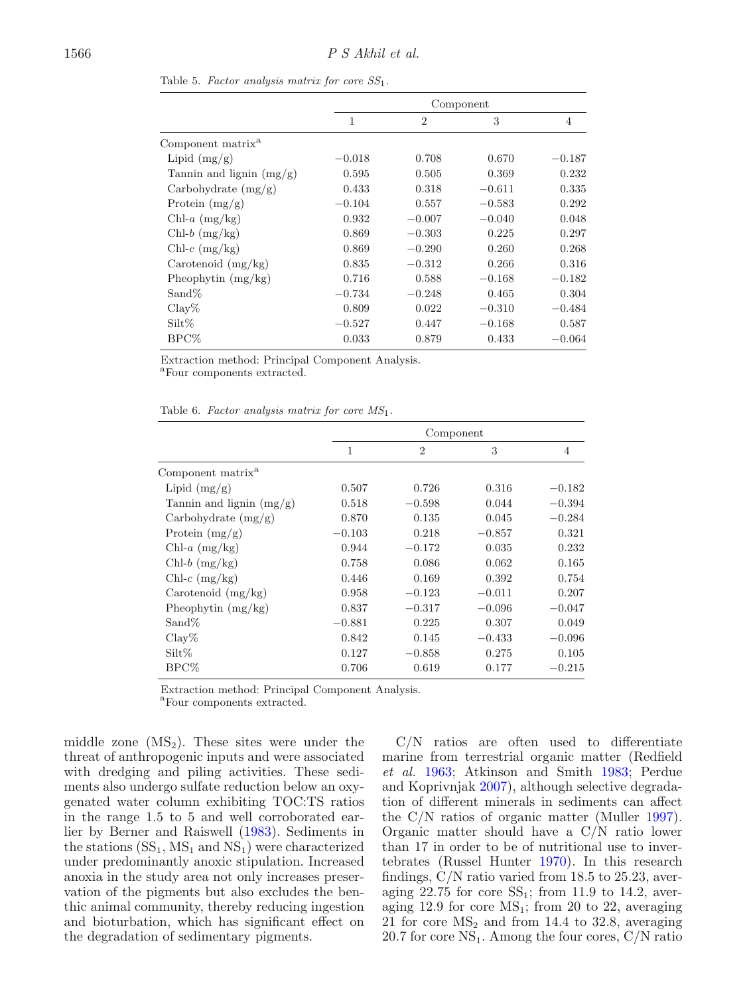|                               |          |                | Component |          |
|-------------------------------|----------|----------------|-----------|----------|
|                               | 1        | $\overline{2}$ | 3         | 4        |
| Component matrix <sup>a</sup> |          |                |           |          |
| Lipid $(mg/g)$                | $-0.018$ | 0.708          | 0.670     | $-0.187$ |
| Tannin and lignin $(mg/g)$    | 0.595    | 0.505          | 0.369     | 0.232    |
| Carbohydrate $(mg/g)$         | 0.433    | 0.318          | $-0.611$  | 0.335    |
| Protein $(mg/g)$              | $-0.104$ | 0.557          | $-0.583$  | 0.292    |
| Chl- $a \, (mg/kg)$           | 0.932    | $-0.007$       | $-0.040$  | 0.048    |
| $Chl-b$ (mg/kg)               | 0.869    | $-0.303$       | 0.225     | 0.297    |
| Chl- $c$ (mg/kg)              | 0.869    | $-0.290$       | 0.260     | 0.268    |
| Carotenoid $(mg/kg)$          | 0.835    | $-0.312$       | 0.266     | 0.316    |
| Pheophytin $(mg/kg)$          | 0.716    | 0.588          | $-0.168$  | $-0.182$ |
| Sand\%                        | $-0.734$ | $-0.248$       | 0.465     | 0.304    |
| Clav%                         | 0.809    | 0.022          | $-0.310$  | $-0.484$ |
| $\text{Silt}\%$               | $-0.527$ | 0.447          | $-0.168$  | 0.587    |
| BPC%                          | 0.033    | 0.879          | 0.433     | $-0.064$ |

<span id="page-9-0"></span>Table 5. Factor analysis matrix for core  $SS_1$ .

Extraction method: Principal Component Analysis.

<sup>a</sup>Four components extracted.

| Table 6. Factor analysis matrix for core $MS_1$ . |  |  |  |  |  |
|---------------------------------------------------|--|--|--|--|--|
|---------------------------------------------------|--|--|--|--|--|

|                               |          | Component      |          |          |
|-------------------------------|----------|----------------|----------|----------|
|                               | 1        | $\overline{2}$ | 3        | 4        |
| Component matrix <sup>a</sup> |          |                |          |          |
| Lipid $(mg/g)$                | 0.507    | 0.726          | 0.316    | $-0.182$ |
| Tannin and lignin $(mg/g)$    | 0.518    | $-0.598$       | 0.044    | $-0.394$ |
| Carbohydrate $(mg/g)$         | 0.870    | 0.135          | 0.045    | $-0.284$ |
| Protein $(mg/g)$              | $-0.103$ | 0.218          | $-0.857$ | 0.321    |
| Chl- $a \, (mg/kg)$           | 0.944    | $-0.172$       | 0.035    | 0.232    |
| $Chl-b$ (mg/kg)               | 0.758    | 0.086          | 0.062    | 0.165    |
| $Chl-c$ (mg/kg)               | 0.446    | 0.169          | 0.392    | 0.754    |
| Carotenoid $(mg/kg)$          | 0.958    | $-0.123$       | $-0.011$ | 0.207    |
| Pheophytin $(mg/kg)$          | 0.837    | $-0.317$       | $-0.096$ | $-0.047$ |
| $Sand\%$                      | $-0.881$ | 0.225          | 0.307    | 0.049    |
| Clav%                         | 0.842    | 0.145          | $-0.433$ | $-0.096$ |
| $\mathrm{Silt}\%$             | 0.127    | $-0.858$       | 0.275    | 0.105    |
| $BPC\%$                       | 0.706    | 0.619          | 0.177    | $-0.215$ |

Extraction method: Principal Component Analysis.

<sup>a</sup>Four components extracted.

middle zone  $(MS_2)$ . These sites were under the threat of anthropogenic inputs and were associated with dredging and piling activities. These sediments also undergo sulfate reduction below an oxygenated water column exhibiting TOC:TS ratios in the range 1.5 to 5 and well corroborated earlier by Berner and Raiswel[l](#page-11-8) [\(1983](#page-11-8)). Sediments in the stations  $(SS<sub>1</sub>, MS<sub>1</sub>$  and  $NS<sub>1</sub>$ ) were characterized under predominantly anoxic stipulation. Increased anoxia in the study area not only increases preservation of the pigments but also excludes the benthic animal community, thereby reducing ingestion and bioturbation, which has significant effect on the degradation of sedimentary pigments.

C/N ratios are often used to differentiate marine from terrestrial organic matter (Redfield et al. [1963](#page-13-4); Atkinson and Smith [1983](#page-11-9); Perdue and Koprivnjak [2007](#page-13-5)), although selective degradation of different minerals in sediments can affect the C/N ratios of organic matter (Mulle[r](#page-12-33) [1997\)](#page-12-33). Organic matter should have a C/N ratio lower than 17 in order to be of nutritional use to invertebrates (Russel Hunte[r](#page-13-6) [1970\)](#page-13-6). In this research findings, C/N ratio varied from 18.5 to 25.23, averaging  $22.75$  for core  $SS_1$ ; from 11.9 to 14.2, averaging 12.9 for core  $MS_1$ ; from 20 to 22, averaging 21 for core  $MS_2$  and from 14.4 to 32.8, averaging 20.7 for core  $NS_1$ . Among the four cores,  $C/N$  ratio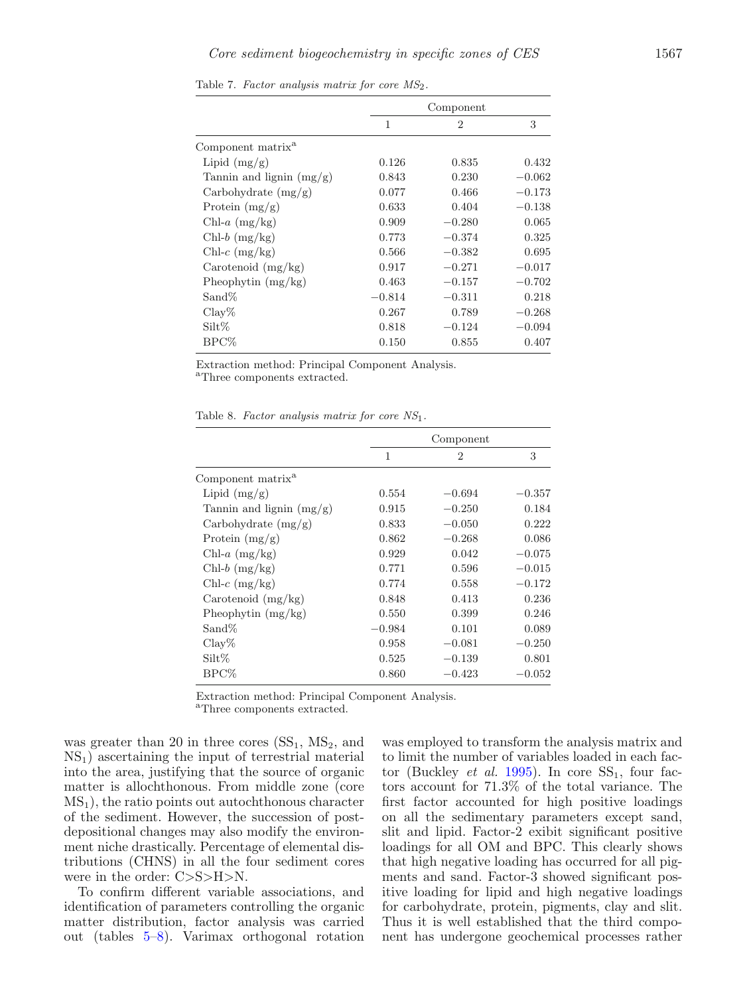|                               |          | Component      |          |
|-------------------------------|----------|----------------|----------|
|                               | 1        | $\overline{2}$ | 3        |
| Component matrix <sup>a</sup> |          |                |          |
| Lipid $(mg/g)$                | 0.126    | 0.835          | 0.432    |
| Tannin and lignin $(mg/g)$    | 0.843    | 0.230          | $-0.062$ |
| Carbohydrate $(mg/g)$         | 0.077    | 0.466          | $-0.173$ |
| Protein $(mg/g)$              | 0.633    | 0.404          | $-0.138$ |
| Chl-a $(mg/kg)$               | 0.909    | $-0.280$       | 0.065    |
| $Chl-b$ (mg/kg)               | 0.773    | $-0.374$       | 0.325    |
| $Chl-c$ (mg/kg)               | 0.566    | $-0.382$       | 0.695    |
| Carotenoid (mg/kg)            | 0.917    | $-0.271$       | $-0.017$ |
| Pheophytin $(mg/kg)$          | 0.463    | $-0.157$       | $-0.702$ |
| $Sand\%$                      | $-0.814$ | $-0.311$       | 0.218    |
| $\text{Clav}\%$               | 0.267    | 0.789          | $-0.268$ |
| $\text{Silt}\%$               | 0.818    | $-0.124$       | $-0.094$ |
| BPC%                          | 0.150    | 0.855          | 0.407    |

Table 7. Factor analysis matrix for core  $MS_2$ .

Extraction method: Principal Component Analysis.

<sup>a</sup>Three components extracted.

<span id="page-10-0"></span>Table 8. Factor analysis matrix for core  $NS<sub>1</sub>$ .

|                               |          | Component      |          |
|-------------------------------|----------|----------------|----------|
|                               | 1        | $\mathfrak{D}$ | 3        |
| Component matrix <sup>a</sup> |          |                |          |
| Lipid $(mg/g)$                | 0.554    | $-0.694$       | $-0.357$ |
| Tannin and lignin $(mg/g)$    | 0.915    | $-0.250$       | 0.184    |
| Carbohydrate $(mg/g)$         | 0.833    | $-0.050$       | 0.222    |
| Protein $(mg/g)$              | 0.862    | $-0.268$       | 0.086    |
| Chl- $a \, (mg/kg)$           | 0.929    | 0.042          | $-0.075$ |
| $Chl-b$ (mg/kg)               | 0.771    | 0.596          | $-0.015$ |
| $Chl-c$ (mg/kg)               | 0.774    | 0.558          | $-0.172$ |
| Carotenoid (mg/kg)            | 0.848    | 0.413          | 0.236    |
| Pheophytin $(mg/kg)$          | 0.550    | 0.399          | 0.246    |
| $Sand\%$                      | $-0.984$ | 0.101          | 0.089    |
| Clav%                         | 0.958    | $-0.081$       | $-0.250$ |
| $\text{Silt}\%$               | 0.525    | $-0.139$       | 0.801    |
| BPC%                          | 0.860    | $-0.423$       | $-0.052$ |

Extraction method: Principal Component Analysis.

<sup>a</sup>Three components extracted.

was greater than 20 in three cores  $(SS_1, MS_2, and)$  $NS<sub>1</sub>$ ) ascertaining the input of terrestrial material into the area, justifying that the source of organic matter is allochthonous. From middle zone (core  $MS<sub>1</sub>$ ), the ratio points out autochthonous character of the sediment. However, the succession of postdepositional changes may also modify the environment niche drastically. Percentage of elemental distributions (CHNS) in all the four sediment cores were in the order: C>S>H>N.

To confirm different variable associations, and identification of parameters controlling the organic matter distribution, factor analysis was carried out (tables [5](#page-9-0)[–8\)](#page-10-0). Varimax orthogonal rotation

was employed to transform the analysis matrix and to limit the number of variables loaded in each factor (Buckley *et al[.](#page-12-34)* [1995\)](#page-12-34). In core  $SS_1$ , four factors account for 71.3% of the total variance. The first factor accounted for high positive loadings on all the sedimentary parameters except sand, slit and lipid. Factor-2 exibit significant positive loadings for all OM and BPC. This clearly shows that high negative loading has occurred for all pigments and sand. Factor-3 showed significant positive loading for lipid and high negative loadings for carbohydrate, protein, pigments, clay and slit. Thus it is well established that the third component has undergone geochemical processes rather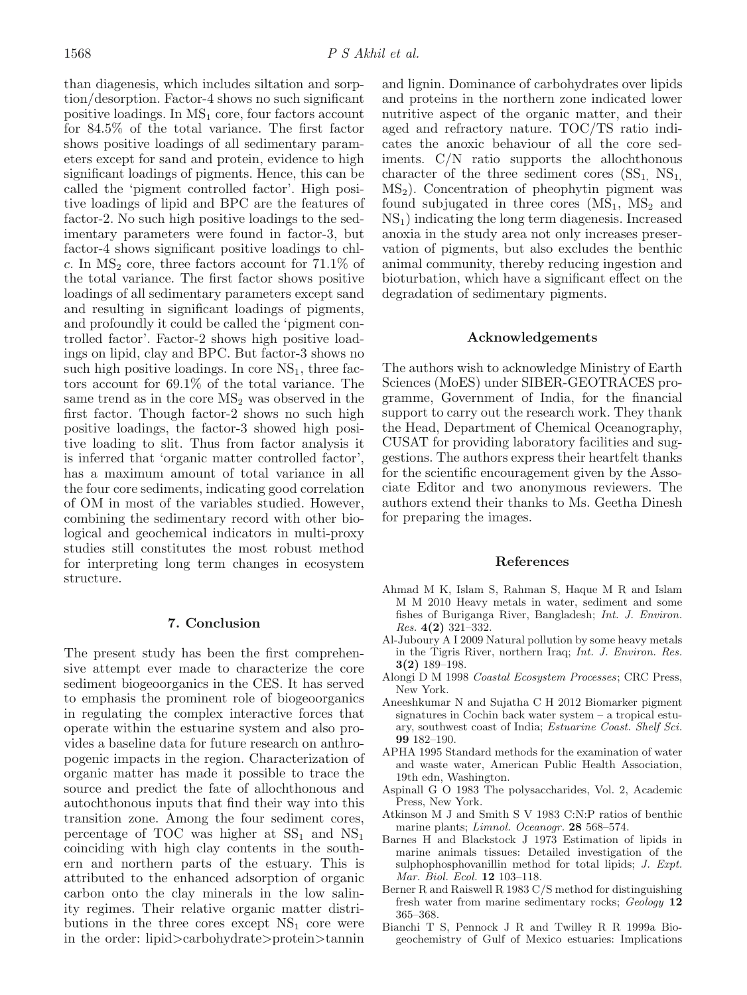than diagenesis, which includes siltation and sorption/desorption. Factor-4 shows no such significant positive loadings. In  $MS_1$  core, four factors account for 84.5% of the total variance. The first factor shows positive loadings of all sedimentary parameters except for sand and protein, evidence to high significant loadings of pigments. Hence, this can be called the 'pigment controlled factor'. High positive loadings of lipid and BPC are the features of factor-2. No such high positive loadings to the sedimentary parameters were found in factor-3, but factor-4 shows significant positive loadings to chlc. In  $MS_2$  core, three factors account for 71.1\% of the total variance. The first factor shows positive loadings of all sedimentary parameters except sand and resulting in significant loadings of pigments, and profoundly it could be called the 'pigment controlled factor'. Factor-2 shows high positive loadings on lipid, clay and BPC. But factor-3 shows no such high positive loadings. In core  $NS<sub>1</sub>$ , three factors account for 69.1% of the total variance. The same trend as in the core  $MS<sub>2</sub>$  was observed in the first factor. Though factor-2 shows no such high positive loadings, the factor-3 showed high positive loading to slit. Thus from factor analysis it is inferred that 'organic matter controlled factor', has a maximum amount of total variance in all the four core sediments, indicating good correlation of OM in most of the variables studied. However, combining the sedimentary record with other biological and geochemical indicators in multi-proxy studies still constitutes the most robust method for interpreting long term changes in ecosystem structure.

## **7. Conclusion**

The present study has been the first comprehensive attempt ever made to characterize the core sediment biogeoorganics in the CES. It has served to emphasis the prominent role of biogeoorganics in regulating the complex interactive forces that operate within the estuarine system and also provides a baseline data for future research on anthropogenic impacts in the region. Characterization of organic matter has made it possible to trace the source and predict the fate of allochthonous and autochthonous inputs that find their way into this transition zone. Among the four sediment cores, percentage of TOC was higher at  $SS_1$  and  $NS_1$ coinciding with high clay contents in the southern and northern parts of the estuary. This is attributed to the enhanced adsorption of organic carbon onto the clay minerals in the low salinity regimes. Their relative organic matter distributions in the three cores except  $NS<sub>1</sub>$  core were in the order: lipid>carbohydrate>protein>tannin

and lignin. Dominance of carbohydrates over lipids and proteins in the northern zone indicated lower nutritive aspect of the organic matter, and their aged and refractory nature. TOC/TS ratio indicates the anoxic behaviour of all the core sediments. C/N ratio supports the allochthonous character of the three sediment cores  $(SS_1, NS_1)$  $MS<sub>2</sub>$ ). Concentration of pheophytin pigment was found subjugated in three cores  $(MS_1, MS_2, and)$ NS1) indicating the long term diagenesis. Increased anoxia in the study area not only increases preservation of pigments, but also excludes the benthic animal community, thereby reducing ingestion and bioturbation, which have a significant effect on the degradation of sedimentary pigments.

#### **Acknowledgements**

The authors wish to acknowledge Ministry of Earth Sciences (MoES) under SIBER-GEOTRACES programme, Government of India, for the financial support to carry out the research work. They thank the Head, Department of Chemical Oceanography, CUSAT for providing laboratory facilities and suggestions. The authors express their heartfelt thanks for the scientific encouragement given by the Associate Editor and two anonymous reviewers. The authors extend their thanks to Ms. Geetha Dinesh for preparing the images.

#### **References**

- <span id="page-11-3"></span>Ahmad M K, Islam S, Rahman S, Haque M R and Islam M M 2010 Heavy metals in water, sediment and some fishes of Buriganga River, Bangladesh; Int. J. Environ. Res. **4(2)** 321–332.
- <span id="page-11-2"></span>Al-Juboury A I 2009 Natural pollution by some heavy metals in the Tigris River, northern Iraq; Int. J. Environ. Res. **3(2)** 189–198.
- <span id="page-11-0"></span>Alongi D M 1998 Coastal Ecosystem Processes; CRC Press, New York.
- <span id="page-11-6"></span>Aneeshkumar N and Sujatha C H 2012 Biomarker pigment signatures in Cochin back water system – a tropical estuary, southwest coast of India; Estuarine Coast. Shelf Sci. **99** 182–190.
- <span id="page-11-4"></span>APHA 1995 Standard methods for the examination of water and waste water, American Public Health Association, 19th edn, Washington.
- <span id="page-11-7"></span>Aspinall G O 1983 The polysaccharides, Vol. 2, Academic Press, New York.
- <span id="page-11-9"></span>Atkinson M J and Smith S V 1983 C:N:P ratios of benthic marine plants; Limnol. Oceanogr. **28** 568–574.
- <span id="page-11-5"></span>Barnes H and Blackstock J 1973 Estimation of lipids in marine animals tissues: Detailed investigation of the sulphophosphovanillin method for total lipids; *J. Expt.* Mar. Biol. Ecol. **12** 103–118.
- <span id="page-11-8"></span>Berner R and Raiswell R 1983 C/S method for distinguishing fresh water from marine sedimentary rocks; Geology **12** 365–368.
- <span id="page-11-1"></span>Bianchi T S, Pennock J R and Twilley R R 1999a Biogeochemistry of Gulf of Mexico estuaries: Implications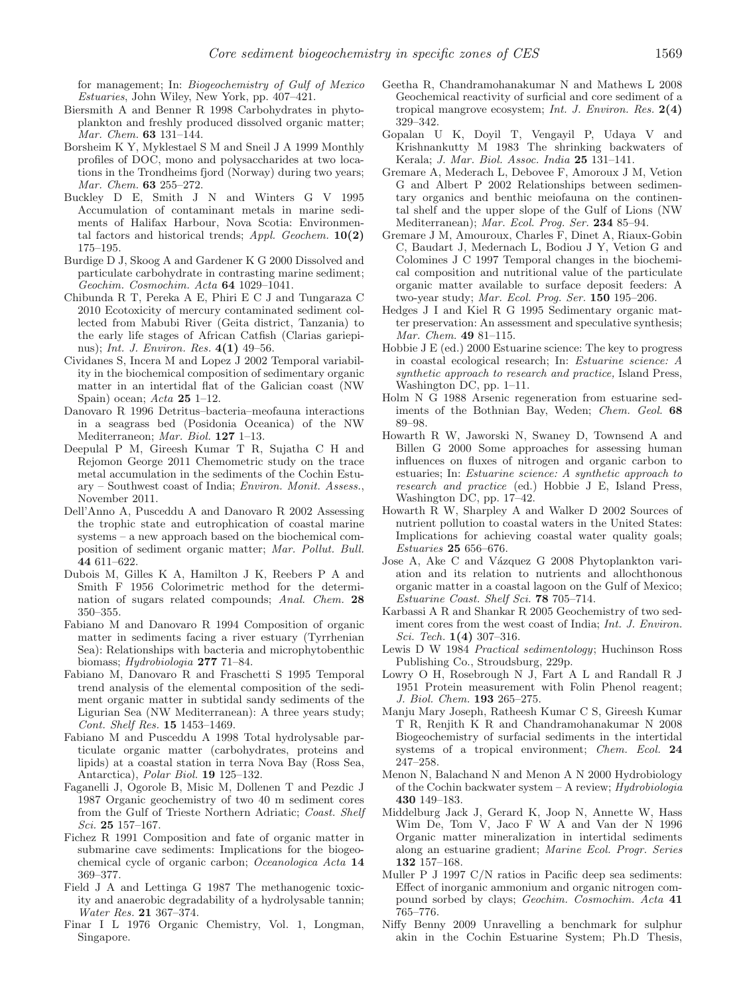for management; In: Biogeochemistry of Gulf of Mexico Estuaries, John Wiley, New York, pp. 407–421.

- <span id="page-12-26"></span>Biersmith A and Benner R 1998 Carbohydrates in phytoplankton and freshly produced dissolved organic matter; Mar. Chem. **63** 131–144.
- <span id="page-12-22"></span>Borsheim K Y, Myklestael S M and Sneil J A 1999 Monthly profiles of DOC, mono and polysaccharides at two locations in the Trondheims fjord (Norway) during two years; Mar. Chem. **63** 255–272.
- <span id="page-12-34"></span>Buckley D E, Smith J N and Winters G V 1995 Accumulation of contaminant metals in marine sediments of Halifax Harbour, Nova Scotia: Environmental factors and historical trends; Appl. Geochem. **10(2)** 175–195.
- <span id="page-12-23"></span>Burdige D J, Skoog A and Gardener K G 2000 Dissolved and particulate carbohydrate in contrasting marine sediment; Geochim. Cosmochim. Acta **64** 1029–1041.
- <span id="page-12-10"></span>Chibunda R T, Pereka A E, Phiri E C J and Tungaraza C 2010 Ecotoxicity of mercury contaminated sediment collected from Mabubi River (Geita district, Tanzania) to the early life stages of African Catfish (Clarias gariepinus); Int. J. Environ. Res. **4(1)** 49–56.
- <span id="page-12-30"></span>Cividanes S, Incera M and Lopez J 2002 Temporal variability in the biochemical composition of sedimentary organic matter in an intertidal flat of the Galician coast (NW Spain) ocean; Acta **25** 1–12.
- <span id="page-12-31"></span>Danovaro R 1996 Detritus–bacteria–meofauna interactions in a seagrass bed (Posidonia Oceanica) of the NW Mediterraneon; Mar. Biol. **127** 1–13.
- <span id="page-12-21"></span>Deepulal P M, Gireesh Kumar T R, Sujatha C H and Rejomon George 2011 Chemometric study on the trace metal accumulation in the sediments of the Cochin Estuary – Southwest coast of India; Environ. Monit. Assess., November 2011.
- <span id="page-12-29"></span>Dell'Anno A, Pusceddu A and Danovaro R 2002 Assessing the trophic state and eutrophication of coastal marine systems – a new approach based on the biochemical composition of sediment organic matter; Mar. Pollut. Bull. **44** 611–622.
- <span id="page-12-13"></span>Dubois M, Gilles K A, Hamilton J K, Reebers P A and Smith F 1956 Colorimetric method for the determination of sugars related compounds; Anal. Chem. **28** 350–355.
- <span id="page-12-15"></span>Fabiano M and Danovaro R 1994 Composition of organic matter in sediments facing a river estuary (Tyrrhenian Sea): Relationships with bacteria and microphytobenthic biomass; Hydrobiologia **277** 71–84.
- <span id="page-12-17"></span>Fabiano M, Danovaro R and Fraschetti S 1995 Temporal trend analysis of the elemental composition of the sediment organic matter in subtidal sandy sediments of the Ligurian Sea (NW Mediterranean): A three years study; Cont. Shelf Res. **15** 1453–1469.
- <span id="page-12-32"></span>Fabiano M and Pusceddu A 1998 Total hydrolysable particulate organic matter (carbohydrates, proteins and lipids) at a coastal station in terra Nova Bay (Ross Sea, Antarctica), Polar Biol. **19** 125–132.
- <span id="page-12-7"></span>Faganelli J, Ogorole B, Misic M, Dollenen T and Pezdic J 1987 Organic geochemistry of two 40 m sediment cores from the Gulf of Trieste Northern Adriatic; Coast. Shelf Sci. **25** 157–167.
- <span id="page-12-16"></span>Fichez R 1991 Composition and fate of organic matter in submarine cave sediments: Implications for the biogeochemical cycle of organic carbon; Oceanologica Acta **14** 369–377.
- <span id="page-12-28"></span>Field J A and Lettinga G 1987 The methanogenic toxicity and anaerobic degradability of a hydrolysable tannin; Water Res. **21** 367–374.
- <span id="page-12-27"></span>Finar I L 1976 Organic Chemistry, Vol. 1, Longman, Singapore.
- <span id="page-12-18"></span>Geetha R, Chandramohanakumar N and Mathews L 2008 Geochemical reactivity of surficial and core sediment of a tropical mangrove ecosystem; Int. J. Environ. Res. **2(4)** 329–342.
- <span id="page-12-5"></span>Gopalan U K, Doyil T, Vengayil P, Udaya V and Krishnankutty M 1983 The shrinking backwaters of Kerala; J. Mar. Biol. Assoc. India **25** 131–141.
- <span id="page-12-25"></span>Gremare A, Mederach L, Debovee F, Amoroux J M, Vetion G and Albert P 2002 Relationships between sedimentary organics and benthic meiofauna on the continental shelf and the upper slope of the Gulf of Lions (NW Mediterranean); Mar. Ecol. Prog. Ser. **234** 85–94.
- <span id="page-12-24"></span>Gremare J M, Amouroux, Charles F, Dinet A, Riaux-Gobin C, Baudart J, Medernach L, Bodiou J Y, Vetion G and Colomines J C 1997 Temporal changes in the biochemical composition and nutritional value of the particulate organic matter available to surface deposit feeders: A two-year study; Mar. Ecol. Prog. Ser. **150** 195–206.
- <span id="page-12-3"></span>Hedges J I and Kiel R G 1995 Sedimentary organic matter preservation: An assessment and speculative synthesis; Mar. Chem. **49** 81–115.
- <span id="page-12-0"></span>Hobbie J E (ed.) 2000 Estuarine science: The key to progress in coastal ecological research; In: Estuarine science: A synthetic approach to research and practice, Island Press, Washington DC, pp. 1–11.
- <span id="page-12-8"></span>Holm N G 1988 Arsenic regeneration from estuarine sediments of the Bothnian Bay, Weden; Chem. Geol. **68** 89–98.
- <span id="page-12-1"></span>Howarth R W, Jaworski N, Swaney D, Townsend A and Billen G 2000 Some approaches for assessing human influences on fluxes of nitrogen and organic carbon to estuaries; In: Estuarine science: A synthetic approach to research and practice (ed.) Hobbie J E, Island Press, Washington DC, pp. 17–42.
- <span id="page-12-2"></span>Howarth R W, Sharpley A and Walker D 2002 Sources of nutrient pollution to coastal waters in the United States: Implications for achieving coastal water quality goals; Estuaries **25** 656–676.
- <span id="page-12-14"></span>Jose A, Ake C and Vázquez G 2008 Phytoplankton variation and its relation to nutrients and allochthonous organic matter in a coastal lagoon on the Gulf of Mexico; Estuarine Coast. Shelf Sci. **78** 705–714.
- <span id="page-12-9"></span>Karbassi A R and Shankar R 2005 Geochemistry of two sediment cores from the west coast of India; *Int. J. Environ.* Sci. Tech. **1(4)** 307–316.
- <span id="page-12-11"></span>Lewis D W 1984 Practical sedimentology; Huchinson Ross Publishing Co., Stroudsburg, 229p.
- <span id="page-12-12"></span>Lowry O H, Rosebrough N J, Fart A L and Randall R J 1951 Protein measurement with Folin Phenol reagent; J. Biol. Chem. **193** 265–275.
- <span id="page-12-19"></span>Manju Mary Joseph, Ratheesh Kumar C S, Gireesh Kumar T R, Renjith K R and Chandramohanakumar N 2008 Biogeochemistry of surfacial sediments in the intertidal systems of a tropical environment; Chem. Ecol. **24** 247–258.
- <span id="page-12-6"></span>Menon N, Balachand N and Menon A N 2000 Hydrobiology of the Cochin backwater system – A review; Hydrobiologia **430** 149–183.
- <span id="page-12-4"></span>Middelburg Jack J, Gerard K, Joop N, Annette W, Hass Wim De, Tom V, Jaco F W A and Van der N 1996 Organic matter mineralization in intertidal sediments along an estuarine gradient; Marine Ecol. Progr. Series **132** 157–168.
- <span id="page-12-33"></span>Muller P J 1997 C/N ratios in Pacific deep sea sediments: Effect of inorganic ammonium and organic nitrogen compound sorbed by clays; Geochim. Cosmochim. Acta **41** 765–776.
- <span id="page-12-20"></span>Niffy Benny 2009 Unravelling a benchmark for sulphur akin in the Cochin Estuarine System; Ph.D Thesis,